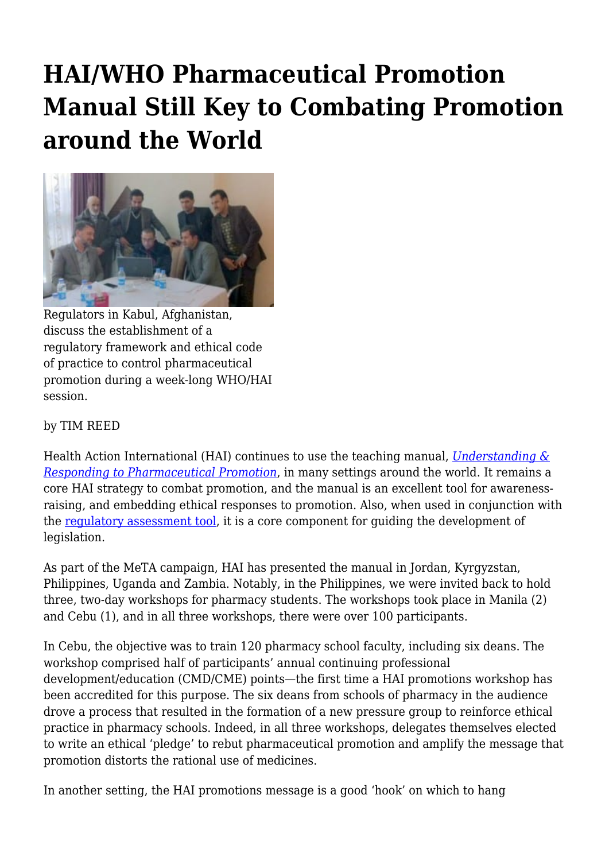## **HAI/WHO Pharmaceutical Promotion Manual Still Key to Combating Promotion around the World**



Regulators in Kabul, Afghanistan, discuss the establishment of a regulatory framework and ethical code of practice to control pharmaceutical promotion during a week-long WHO/HAI session.

## by TIM REED

Health Action International (HAI) continues to use the teaching manual, *[Understanding &](http://haiweb.org/wp-content/uploads/2015/05/Pharma-Promotion-Guide-English.pdf) [Responding to Pharmaceutical Promotion](http://haiweb.org/wp-content/uploads/2015/05/Pharma-Promotion-Guide-English.pdf)*, in many settings around the world. It remains a core HAI strategy to combat promotion, and the manual is an excellent tool for awarenessraising, and embedding ethical responses to promotion. Also, when used in conjunction with the [regulatory assessment tool,](http://haiweb.org/wp-content/uploads/2015/05/Assessing-the-Nature-Extent-and-Impact-of-Regulation-of-Medicines-Promotion-Methodology.pdf) it is a core component for guiding the development of legislation.

As part of the MeTA campaign, HAI has presented the manual in Jordan, Kyrgyzstan, Philippines, Uganda and Zambia. Notably, in the Philippines, we were invited back to hold three, two-day workshops for pharmacy students. The workshops took place in Manila (2) and Cebu (1), and in all three workshops, there were over 100 participants.

In Cebu, the objective was to train 120 pharmacy school faculty, including six deans. The workshop comprised half of participants' annual continuing professional development/education (CMD/CME) points—the first time a HAI promotions workshop has been accredited for this purpose. The six deans from schools of pharmacy in the audience drove a process that resulted in the formation of a new pressure group to reinforce ethical practice in pharmacy schools. Indeed, in all three workshops, delegates themselves elected to write an ethical 'pledge' to rebut pharmaceutical promotion and amplify the message that promotion distorts the rational use of medicines.

In another setting, the HAI promotions message is a good 'hook' on which to hang